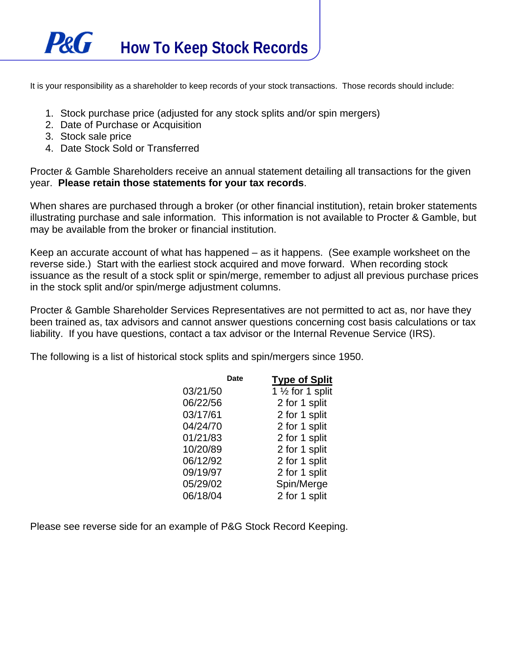

It is your responsibility as a shareholder to keep records of your stock transactions. Those records should include:

- 1. Stock purchase price (adjusted for any stock splits and/or spin mergers)
- 2. Date of Purchase or Acquisition
- 3. Stock sale price
- 4. Date Stock Sold or Transferred

Procter & Gamble Shareholders receive an annual statement detailing all transactions for the given year. **Please retain those statements for your tax records**.

When shares are purchased through a broker (or other financial institution), retain broker statements illustrating purchase and sale information. This information is not available to Procter & Gamble, but may be available from the broker or financial institution.

Keep an accurate account of what has happened – as it happens. (See example worksheet on the reverse side.) Start with the earliest stock acquired and move forward. When recording stock issuance as the result of a stock split or spin/merge, remember to adjust all previous purchase prices in the stock split and/or spin/merge adjustment columns.

Procter & Gamble Shareholder Services Representatives are not permitted to act as, nor have they been trained as, tax advisors and cannot answer questions concerning cost basis calculations or tax liability. If you have questions, contact a tax advisor or the Internal Revenue Service (IRS).

The following is a list of historical stock splits and spin/mergers since 1950.

|          | Date | <b>Type of Split</b>          |
|----------|------|-------------------------------|
| 03/21/50 |      | 1 1/ <sub>2</sub> for 1 split |
| 06/22/56 |      | 2 for 1 split                 |
| 03/17/61 |      | 2 for 1 split                 |
| 04/24/70 |      | 2 for 1 split                 |
| 01/21/83 |      | 2 for 1 split                 |
| 10/20/89 |      | 2 for 1 split                 |
| 06/12/92 |      | 2 for 1 split                 |
| 09/19/97 |      | 2 for 1 split                 |
| 05/29/02 |      | Spin/Merge                    |
| 06/18/04 |      | 2 for 1 split                 |

Please see reverse side for an example of P&G Stock Record Keeping.